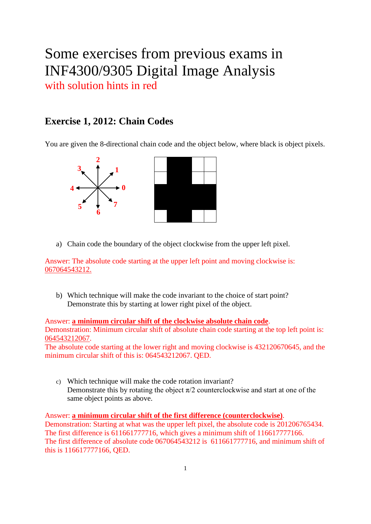# Some exercises from previous exams in INF4300/9305 Digital Image Analysis with solution hints in red

## **Exercise 1, 2012: Chain Codes**

You are given the 8-directional chain code and the object below, where black is object pixels.



a) Chain code the boundary of the object clockwise from the upper left pixel.

Answer: The absolute code starting at the upper left point and moving clockwise is: 067064543212.

b) Which technique will make the code invariant to the choice of start point? Demonstrate this by starting at lower right pixel of the object.

Answer: **a minimum circular shift of the clockwise absolute chain code**. Demonstration: Minimum circular shift of absolute chain code starting at the top left point is: 064543212067.

The absolute code starting at the lower right and moving clockwise is 432120670645, and the minimum circular shift of this is: 064543212067. QED.

c) Which technique will make the code rotation invariant? Demonstrate this by rotating the object  $\pi/2$  counterclockwise and start at one of the same object points as above.

Answer: **a minimum circular shift of the first difference (counterclockwise)**. Demonstration: Starting at what was the upper left pixel, the absolute code is 201206765434. The first difference is 611661777716, which gives a minimum shift of 116617777166. The first difference of absolute code 067064543212 is 611661777716, and minimum shift of this is 116617777166, QED.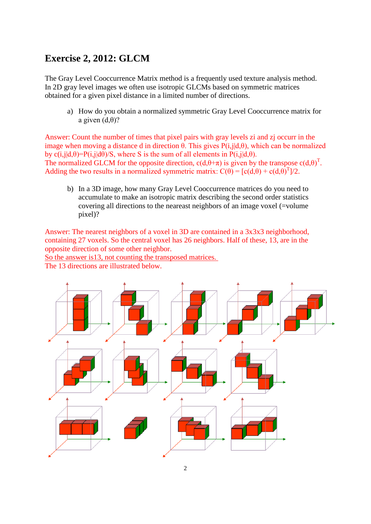## **Exercise 2, 2012: GLCM**

The Gray Level Cooccurrence Matrix method is a frequently used texture analysis method. In 2D gray level images we often use isotropic GLCMs based on symmetric matrices obtained for a given pixel distance in a limited number of directions.

a) How do you obtain a normalized symmetric Gray Level Cooccurrence matrix for a given  $(d, \theta)$ ?

Answer: Count the number of times that pixel pairs with gray levels zi and zj occurr in the image when moving a distance d in direction θ. This gives  $P(i,j|d,θ)$ , which can be normalized by c(i,j|d, $\theta$ )=P(i,j|d $\theta$ )/S, where S is the sum of all elements in P(i,j|d, $\theta$ ). The normalized GLCM for the opposite direction,  $c(d, \theta + \pi)$  is given by the transpose  $c(d, \theta)^T$ . Adding the two results in a normalized symmetric matrix:  $C(\theta) = [c(d, \theta) + c(d, \theta)^T]/2$ .

b) In a 3D image, how many Gray Level Cooccurrence matrices do you need to accumulate to make an isotropic matrix describing the second order statistics covering all directions to the neareast neighbors of an image voxel (=volume pixel)?

Answer: The nearest neighbors of a voxel in 3D are contained in a 3x3x3 neighborhood, containing 27 voxels. So the central voxel has 26 neighbors. Half of these, 13, are in the opposite direction of some other neighbor.

So the answer is13, not counting the transposed matrices.

The 13 directions are illustrated below.

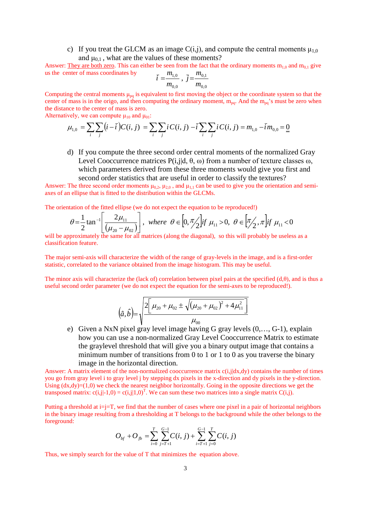c) If you treat the GLCM as an image  $C(i,j)$ , and compute the central moments  $\mu_{1,0}$ and  $\mu_{0,1}$ , what are the values of these moments?

Answer: They are both zero. This can either be seen from the fact that the ordinary moments  $m_{1,0}$  and  $m_{0,1}$  give us the center of mass coordinates by 0,1 *m m*

$$
\bar{i} = \frac{m_{1,0}}{m_{0,0}}, \ \bar{j} = \frac{m_{0,1}}{m_{0,0}}
$$

Computing the central moments  $\mu_{pq}$  is equivalent to first moving the object or the coordinate system so that the center of mass is in the origo, and then computing the ordinary moment,  $m_{pq}$ . And the  $m_{pq}$ 's must be zero when the distance to the center of mass is zero.

Alternatively, we can compute  $\mu_{10}$  and  $\mu_{01}$ :

$$
\mu_{1,0} = \sum_{i} \sum_{j} (i - \overline{i}) C(i, j) = \sum_{i} \sum_{j} i C(i, j) - \overline{i} \sum_{i} \sum_{j} i C(i, j) = m_{1,0} - \overline{i} m_{0,0} = \underline{0}
$$

d) If you compute the three second order central moments of the normalized Gray Level Cooccurrence matrices P(i,j|d, θ, ω) from a number of texture classes ω, which parameters derived from these three moments would give you first and second order statistics that are useful in order to classify the textures?

Answer: The three second order moments  $\mu_{0,2}$ ,  $\mu_{2,0}$ , and  $\mu_{1,1}$  can be used to give you the orientation and semiaxes of an ellipse that is fitted to the distribution within the GLCMs.

The orientation of the fitted ellipse (we do not expect the equation to be reproduced!)

$$
\theta = \frac{1}{2} \tan^{-1} \left[ \frac{2\mu_{11}}{(\mu_{20} - \mu_{02})} \right], \text{ where } \theta \in [0, \pi/2] \text{ if } \mu_{11} > 0, \ \theta \in [\pi/2, \pi] \text{ if } \mu_{11} < 0
$$

will be approximately the same for all matrices (along the diagonal), so this will probably be useless as a  $\frac{2}{\pi}$ classification feature.

The major semi-axis will characterize the width of the range of gray-levels in the image, and is a first-order statistic, correlated to the variance obtained from the image histogram. This may be useful.

The minor axis will characterize the (lack of) correlation between pixel pairs at the specified (d,θ), and is thus a useful second order parameter (we do not expect the equation for the semi-axes to be reproduced!).

$$
(\hat{a}, \hat{b}) = \sqrt{\frac{2[\mu_{20} + \mu_{02} \pm \sqrt{(\mu_{20} + \mu_{02})^2 + 4\mu_{11}^2}]}{\mu_{00}}}
$$

e) Given a NxN pixel gray level image having G gray levels (0,…, G-1), explain how you can use a non-normalized Gray Level Cooccurrence Matrix to estimate the graylevel threshold that will give you a binary output image that contains a minimum number of transitions from 0 to 1 or 1 to 0 as you traverse the binary image in the horizontal direction.

Answer: A matrix element of the non-normalized cooccurrence matrix  $c(i,j|dx,dy)$  contains the number of times you go from gray level i to gray level j by stepping dx pixels in the x-direction and dy pixels in the y-direction. Using  $(dx, dy)=(1,0)$  we check the nearest neighbor horizontally. Going in the opposite directions we get the transposed matrix:  $c(i,j|-1,0) = c(i,j|1,0)^T$ . We can sum these two matrices into a single matrix C(i,j).

Putting a threshold at  $i=$ j=T, we find that the number of cases where one pixel in a pair of horizontal neighbors in the binary image resulting from a thresholding at T belongs to the background while the other belongs to the foreground:

$$
O_{_{bf}} + O_{_{fb}} = \sum_{i=0}^{T} \sum_{j=T+1}^{G-1} C(i, j) + \sum_{i=T+1}^{G-1} \sum_{j=0}^{T} C(i, j)
$$

Thus, we simply search for the value of T that minimizes the equation above.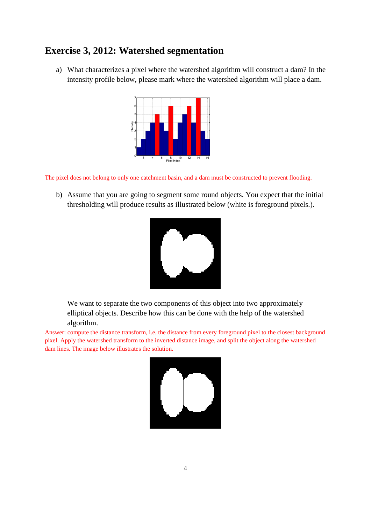### **Exercise 3, 2012: Watershed segmentation**

a) What characterizes a pixel where the watershed algorithm will construct a dam? In the intensity profile below, please mark where the watershed algorithm will place a dam.



The pixel does not belong to only one catchment basin, and a dam must be constructed to prevent flooding.

b) Assume that you are going to segment some round objects. You expect that the initial thresholding will produce results as illustrated below (white is foreground pixels.).



We want to separate the two components of this object into two approximately elliptical objects. Describe how this can be done with the help of the watershed algorithm.

Answer: compute the distance transform, i.e. the distance from every foreground pixel to the closest background pixel. Apply the watershed transform to the inverted distance image, and split the object along the watershed dam lines. The image below illustrates the solution.

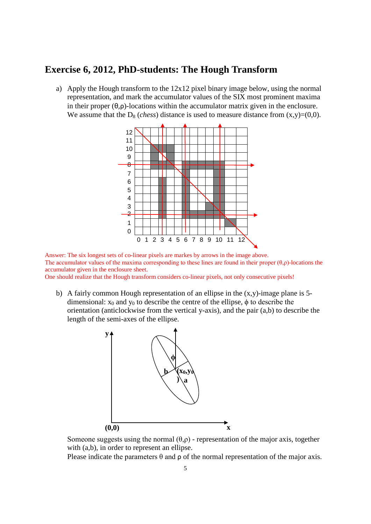### **Exercise 6, 2012, PhD-students: The Hough Transform**

a) Apply the Hough transform to the 12x12 pixel binary image below, using the normal representation, and mark the accumulator values of the SIX most prominent maxima in their proper (θ,ρ)-locations within the accumulator matrix given in the enclosure. We assume that the  $D_8$  (*chess*) distance is used to measure distance from  $(x,y)=(0,0)$ .



Answer: The six longest sets of co-linear pixels are markes by arrows in the image above. The accumulator values of the maxima corresponding to these lines are found in their proper  $(\theta, \rho)$ -locations the accumulator given in the enclosure sheet.

One should realize that the Hough transform considers co-linear pixels, not only consecutive pixels!

b) A fairly common Hough representation of an ellipse in the  $(x,y)$ -image plane is 5dimensional:  $x_0$  and  $y_0$  to describe the centre of the ellipse,  $\phi$  to describe the orientation (anticlockwise from the vertical y-axis), and the pair (a,b) to describe the length of the semi-axes of the ellipse.



Someone suggests using the normal  $(\theta, \rho)$  - representation of the major axis, together with (a,b), in order to represent an ellipse.

Please indicate the parameters  $\theta$  and  $\rho$  of the normal representation of the major axis.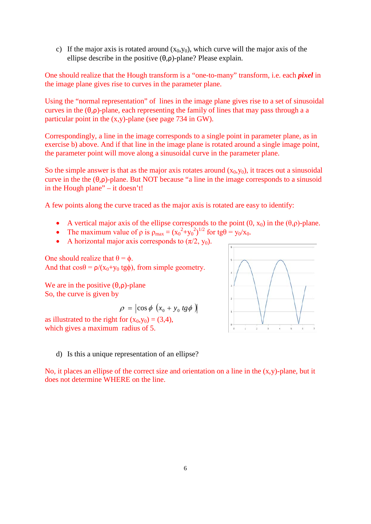c) If the major axis is rotated around  $(x_0, y_0)$ , which curve will the major axis of the ellipse describe in the positive  $(\theta, \rho)$ -plane? Please explain.

One should realize that the Hough transform is a "one-to-many" transform, i.e. each *pixel* in the image plane gives rise to curves in the parameter plane.

Using the "normal representation" of lines in the image plane gives rise to a set of sinusoidal curves in the  $(\theta,\rho)$ -plane, each representing the family of lines that may pass through a a particular point in the (x,y)-plane (see page 734 in GW).

Correspondingly, a line in the image corresponds to a single point in parameter plane, as in exercise b) above. And if that line in the image plane is rotated around a single image point, the parameter point will move along a sinusoidal curve in the parameter plane.

So the simple answer is that as the major axis rotates around  $(x_0, y_0)$ , it traces out a sinusoidal curve in the the (θ,ρ)-plane. But NOT because "a line in the image corresponds to a sinusoid in the Hough plane" – it doesn't!

A few points along the curve traced as the major axis is rotated are easy to identify:

- A vertical major axis of the ellipse corresponds to the point  $(0, x_0)$  in the  $(\theta, \rho)$ -plane.
- The maximum value of  $\rho$  is  $\rho_{\text{max}} = (x_0^2 + y_0^2)^{1/2}$  for tg $\theta = y_0/x_0$ .
- A horizontal major axis corresponds to  $(\pi/2, y_0)$ .

One should realize that  $θ = ϕ$ . And that  $\cos\theta = \rho/(x_0+y_0 \text{ tgb})$ , from simple geometry.

We are in the positive  $(\theta, \rho)$ -plane So, the curve is given by

$$
\rho = \left| \cos \phi \left( x_0 + y_0 \, t \, g \phi \right) \right|
$$

as illustrated to the right for  $(x_0, y_0) = (3, 4)$ , which gives a maximum radius of 5.



d) Is this a unique representation of an ellipse?

No, it places an ellipse of the correct size and orientation on a line in the (x,y)-plane, but it does not determine WHERE on the line.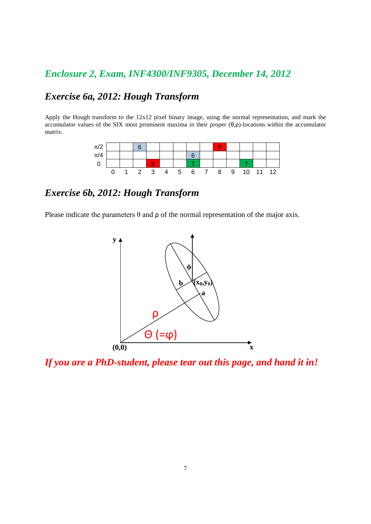## *Enclosure 2, Exam, INF4300/INF9305, December 14, 2012*

## *Exercise 6a, 2012: Hough Transform*

Apply the Hough transform to the 12x12 pixel binary image, using the normal representation, and mark the accumulator values of the SIX most prominent maxima in their proper (θ,ρ)-locations within the accumulator matrix.



## *Exercise 6b, 2012: Hough Transform*

Please indicate the parameters  $\theta$  and  $\rho$  of the normal representation of the major axis.



*If you are a PhD-student, please tear out this page, and hand it in!*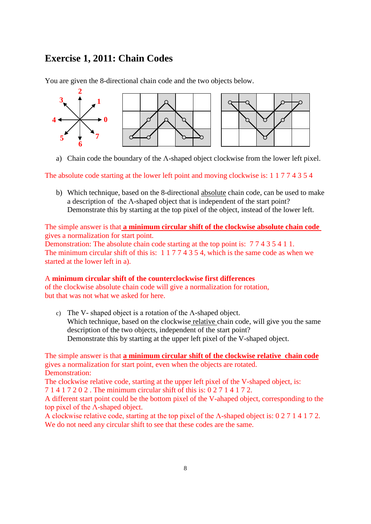### **Exercise 1, 2011: Chain Codes**

You are given the 8-directional chain code and the two objects below.



a) Chain code the boundary of the  $\Lambda$ -shaped object clockwise from the lower left pixel.

The absolute code starting at the lower left point and moving clockwise is: 1 1 7 7 4 3 5 4

b) Which technique, based on the 8-directional absolute chain code, can be used to make a description of the Λ-shaped object that is independent of the start point? Demonstrate this by starting at the top pixel of the object, instead of the lower left.

The simple answer is that **a minimum circular shift of the clockwise absolute chain code**  gives a normalization for start point.

Demonstration: The absolute chain code starting at the top point is: 7 7 4 3 5 4 1 1. The minimum circular shift of this is: 1 1 7 7 4 3 5 4, which is the same code as when we started at the lower left in a).

#### A **minimum circular shift of the counterclockwise first differences**

of the clockwise absolute chain code will give a normalization for rotation, but that was not what we asked for here.

c) The V- shaped object is a rotation of the Λ-shaped object. Which technique, based on the clockwise relative chain code, will give you the same description of the two objects, independent of the start point? Demonstrate this by starting at the upper left pixel of the V-shaped object.

The simple answer is that **a minimum circular shift of the clockwise relative chain code** gives a normalization for start point, even when the objects are rotated. Demonstration:

The clockwise relative code, starting at the upper left pixel of the V-shaped object, is: 7 1 4 1 7 2 0 2 . The minimum circular shift of this is: 0 2 7 1 4 1 7 2.

A different start point could be the bottom pixel of the V-ahaped object, corresponding to the top pixel of the Λ-shaped object.

A clockwise relative code, starting at the top pixel of the Λ-shaped object is: 0 2 7 1 4 1 7 2. We do not need any circular shift to see that these codes are the same.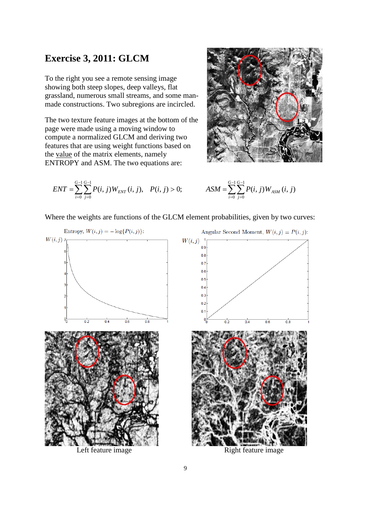### **Exercise 3, 2011: GLCM**

To the right you see a remote sensing image showing both steep slopes, deep valleys, flat grassland, numerous small streams, and some manmade constructions. Two subregions are incircled.

The two texture feature images at the bottom of the page were made using a moving window to compute a normalized GLCM and deriving two features that are using weight functions based on the value of the matrix elements, namely ENTROPY and ASM. The two equations are:



$$
ENT = \sum_{i=0}^{G-1} \sum_{j=0}^{G-1} P(i, j) W_{ENT}(i, j), \quad P(i, j) > 0; \qquad \qquad ASM = \sum_{i=0}^{G-1} \sum_{j=0}^{G-1} P(i, j) W_{ASM}(i, j)
$$

$$
ASM = \sum_{i=0}^{G-1} \sum_{j=0}^{G-1} P(i, j) W_{ASM} (i, j)
$$

Where the weights are functions of the GLCM element probabilities, given by two curves:



Left feature image Right feature image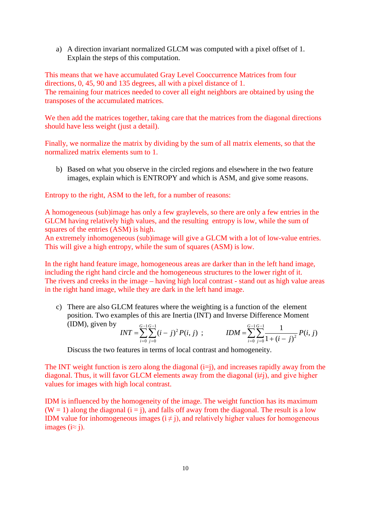a) A direction invariant normalized GLCM was computed with a pixel offset of 1. Explain the steps of this computation.

This means that we have accumulated Gray Level Cooccurrence Matrices from four directions, 0, 45, 90 and 135 degrees, all with a pixel distance of 1. The remaining four matrices needed to cover all eight neighbors are obtained by using the transposes of the accumulated matrices.

We then add the matrices together, taking care that the matrices from the diagonal directions should have less weight (just a detail).

Finally, we normalize the matrix by dividing by the sum of all matrix elements, so that the normalized matrix elements sum to 1.

b) Based on what you observe in the circled regions and elsewhere in the two feature images, explain which is ENTROPY and which is ASM, and give some reasons.

Entropy to the right, ASM to the left, for a number of reasons:

A homogeneous (sub)image has only a few graylevels, so there are only a few entries in the GLCM having relatively high values, and the resulting entropy is low, while the sum of squares of the entries (ASM) is high.

An extremely inhomogeneous (sub)image will give a GLCM with a lot of low-value entries. This will give a high entropy, while the sum of squares (ASM) is low.

In the right hand feature image, homogeneous areas are darker than in the left hand image, including the right hand circle and the homogeneous structures to the lower right of it. The rivers and creeks in the image – having high local contrast - stand out as high value areas in the right hand image, while they are dark in the left hand image.

c) There are also GLCM features where the weighting is a function of the element position. Two examples of this are Inertia (INT) and Inverse Difference Moment (IDM), given by − − − −

$$
INT = \sum_{i=0}^{G-1} \sum_{j=0}^{G-1} (i-j)^2 P(i,j) ; \qquad IDM = \sum_{i=0}^{G-1} \sum_{j=0}^{G-1} \frac{1}{1 + (i-j)^2} P(i,j)
$$

Discuss the two features in terms of local contrast and homogeneity.

The INT weight function is zero along the diagonal  $(i=j)$ , and increases rapidly away from the diagonal. Thus, it will favor GLCM elements away from the diagonal  $(\neq)$ , and give higher values for images with high local contrast.

IDM is influenced by the homogeneity of the image. The weight function has its maximum  $(W = 1)$  along the diagonal  $(i = j)$ , and falls off away from the diagonal. The result is a low IDM value for inhomogeneous images  $(i \neq j)$ , and relatively higher values for homogeneous images ( $i \approx j$ ).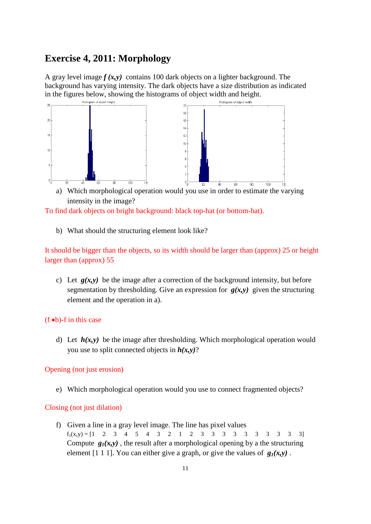### **Exercise 4, 2011: Morphology**

A gray level image  $f(x, y)$  contains 100 dark objects on a lighter background. The background has varying intensity. The dark objects have a size distribution as indicated in the figures below, showing the histograms of object width and height.



a) Which morphological operation would you use in order to estimate the varying intensity in the image?

To find dark objects on bright background: black top-hat (or bottom-hat).

b) What should the structuring element look like?

It should be bigger than the objects, so its width should be larger than (approx) 25 or height larger than (approx) 55

c) Let  $g(x, y)$  be the image after a correction of the background intensity, but before segmentation by thresholding. Give an expression for  $g(x,y)$  given the structuring element and the operation in a).

#### (f •b)-f in this case

d) Let  $h(x, y)$  be the image after thresholding. Which morphological operation would you use to split connected objects in *h(x,y)*?

#### Opening (not just erosion)

e) Which morphological operation would you use to connect fragmented objects?

#### Closing (not just dilation)

f) Given a line in a gray level image. The line has pixel values  $f_1(x,y) = \begin{bmatrix} 1 & 2 & 3 & 4 & 5 & 4 & 3 & 2 & 1 & 2 & 3 & 3 & 3 & 3 & 3 & 3 & 3 & 3 & 3 \end{bmatrix}$ Compute  $g_1(x, y)$ , the result after a morphological opening by a the structuring element [1 1 1]. You can either give a graph, or give the values of  $g_1(x,y)$ .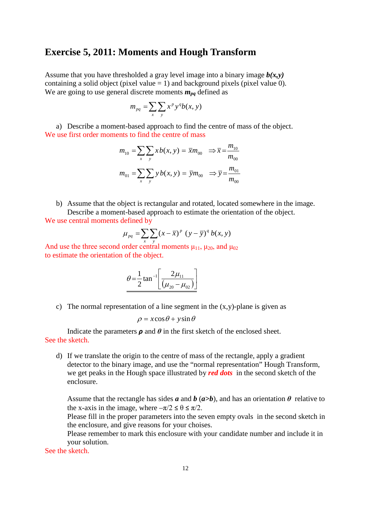#### **Exercise 5, 2011: Moments and Hough Transform**

Assume that you have thresholded a gray level image into a binary image  $b(x, y)$ containing a solid object (pixel value  $= 1$ ) and background pixels (pixel value 0). We are going to use general discrete moments  $m_{pq}$  defined as

$$
m_{pq} = \sum_{x} \sum_{y} x^p y^q b(x, y)
$$

a) Describe a moment-based approach to find the centre of mass of the object. We use first order moments to find the centre of mass

$$
m_{10} = \sum_{x} \sum_{y} x b(x, y) = \overline{x} m_{00} \implies \overline{x} = \frac{m_{10}}{m_{00}}
$$

$$
m_{01} = \sum_{x} \sum_{y} y b(x, y) = \overline{y} m_{00} \implies \overline{y} = \frac{m_{01}}{m_{00}}
$$

b) Assume that the object is rectangular and rotated, located somewhere in the image. Describe a moment-based approach to estimate the orientation of the object. We use central moments defined by

$$
\mu_{pq} = \sum_{x} \sum_{y} (x - \overline{x})^p (y - \overline{y})^q b(x, y)
$$

And use the three second order central moments  $\mu_{11}$ ,  $\mu_{20}$ , and  $\mu_{02}$ to estimate the orientation of the object.

$$
\theta = \frac{1}{2} \tan^{-1} \left[ \frac{2\mu_{11}}{(\mu_{20} - \mu_{02})} \right]
$$

c) The normal representation of a line segment in the  $(x,y)$ -plane is given as

$$
\rho = x\cos\theta + y\sin\theta
$$

Indicate the parameters  $\rho$  and  $\theta$  in the first sketch of the enclosed sheet. See the sketch.

d) If we translate the origin to the centre of mass of the rectangle, apply a gradient detector to the binary image, and use the "normal representation" Hough Transform, we get peaks in the Hough space illustrated by *red dots* in the second sketch of the enclosure.

Assume that the rectangle has sides  $a$  and  $b$  ( $a>b$ ), and has an orientation  $\theta$  relative to the x-axis in the image, where  $-\pi/2 \le \theta \le \pi/2$ .

Please fill in the proper parameters into the seven empty ovals in the second sketch in the enclosure, and give reasons for your choises.

Please remember to mark this enclosure with your candidate number and include it in your solution.

See the sketch.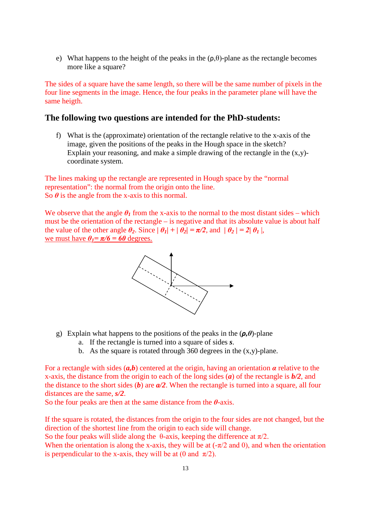e) What happens to the height of the peaks in the  $(\rho, \theta)$ -plane as the rectangle becomes more like a square?

The sides of a square have the same length, so there will be the same number of pixels in the four line segments in the image. Hence, the four peaks in the parameter plane will have the same heigth.

#### **The following two questions are intended for the PhD-students:**

f) What is the (approximate) orientation of the rectangle relative to the x-axis of the image, given the positions of the peaks in the Hough space in the sketch? Explain your reasoning, and make a simple drawing of the rectangle in the  $(x,y)$ coordinate system.

The lines making up the rectangle are represented in Hough space by the "normal representation": the normal from the origin onto the line. So  $\theta$  is the angle from the x-axis to this normal.

We observe that the angle  $\theta_I$  from the x-axis to the normal to the most distant sides – which must be the orientation of the rectangle – is negative and that its absolute value is about half the value of the other angle  $\theta_2$ . Since  $|\theta_1| + |\theta_2| = \pi/2$ , and  $|\theta_2| = 2|\theta_1|$ , we must have  $\theta_1 = \pi/6 = 60$  degrees.



- g) Explain what happens to the positions of the peaks in the (*ρ,θ*)-plane
	- a. If the rectangle is turned into a square of sides *s*.
	- b. As the square is rotated through 360 degrees in the  $(x,y)$ -plane.

For a rectangle with sides (*a,b*) centered at the origin, having an orientation *α* relative to the x-axis, the distance from the origin to each of the long sides (*a*) of the rectangle is *b/2*, and the distance to the short sides (*b*) are *a/2*. When the rectangle is turned into a square, all four distances are the same, *s/2*.

So the four peaks are then at the same distance from the *θ*-axis.

If the square is rotated, the distances from the origin to the four sides are not changed, but the direction of the shortest line from the origin to each side will change.

So the four peaks will slide along the  $\theta$ -axis, keeping the difference at  $\pi/2$ .

When the orientation is along the x-axis, they will be at  $(-\pi/2$  and 0), and when the orientation is perpendicular to the x-axis, they will be at (0 and  $\pi/2$ ).